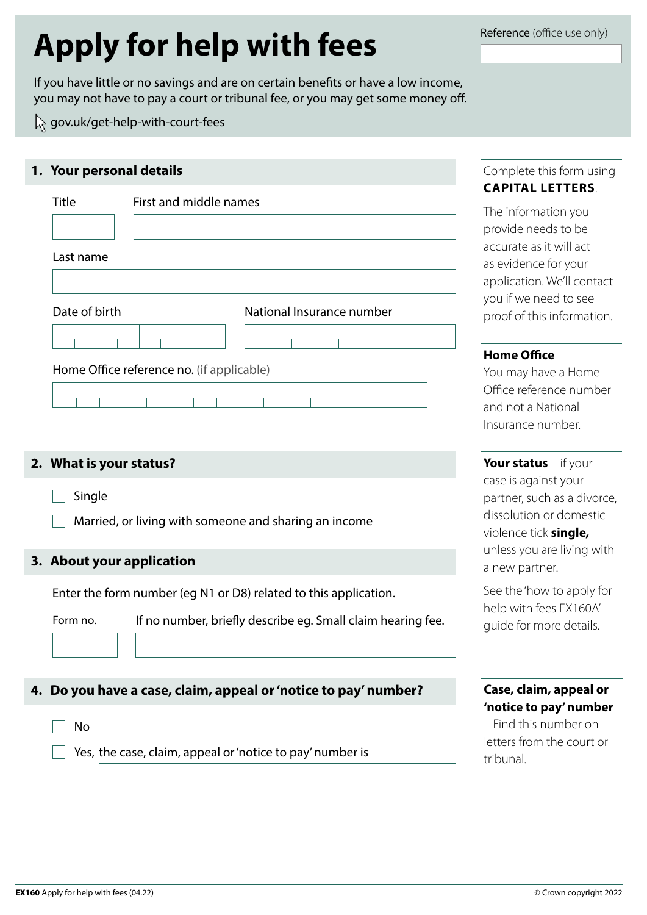# **Apply for help with fees**

If you have little or no savings and are on certain benefits or have a low income, you may not have to pay a court or tribunal fee, or you may get some money off.

[gov.uk/get-help-with-court-fees](https://www.gov.uk/get-help-with-court-fees)

## **1. Your personal details**

| Title         | First and middle names                    |
|---------------|-------------------------------------------|
| Last name     |                                           |
|               |                                           |
| Date of birth | National Insurance number                 |
|               |                                           |
|               | Home Office reference no. (if applicable) |
|               |                                           |

#### **2. What is your status?**

**Single** 

Married, or living with someone and sharing an income

#### **3. About your application**

Enter the form number (eg N1 or D8) related to this application.

Form no. If no number, briefly describe eg. Small claim hearing fee.

#### **4. Do you have a case, claim, appeal or 'notice to pay' number?**

No

Yes, the case, claim, appeal or 'notice to pay' number is

# Complete this form using **CAPITAL LETTERS**.

The information you provide needs to be accurate as it will act as evidence for your application. We'll contact you if we need to see proof of this information.

#### **Home Office** –

You may have a Home Office reference number and not a National Insurance number.

**Your status** – if your case is against your partner, such as a divorce, dissolution or domestic violence tick **single,** unless you are living with a new partner.

See the 'how to apply for help with fees EX160A' guide for more details.

### **Case, claim, appeal or 'notice to pay' number**

– Find this number on letters from the court or tribunal.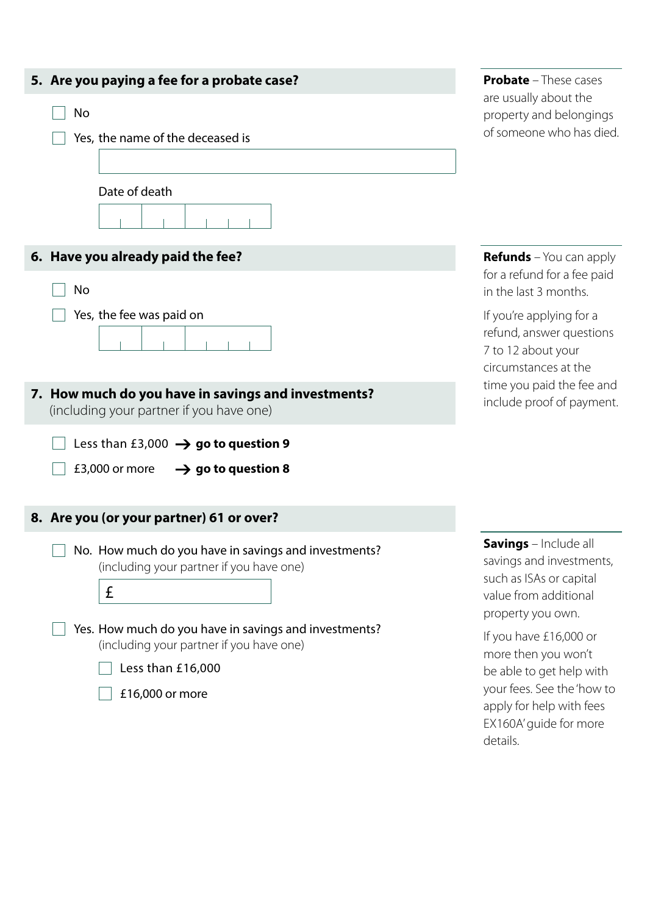| 5. Are you paying a fee for a probate case?                                                           | <b>Probate</b> - These cases                                                                                                      |  |
|-------------------------------------------------------------------------------------------------------|-----------------------------------------------------------------------------------------------------------------------------------|--|
| No<br>Yes, the name of the deceased is                                                                | are usually about the<br>property and belongings<br>of someone who has died.                                                      |  |
| Date of death                                                                                         |                                                                                                                                   |  |
| 6. Have you already paid the fee?                                                                     | <b>Refunds</b> – You can apply                                                                                                    |  |
| No                                                                                                    | for a refund for a fee paid<br>in the last 3 months.                                                                              |  |
| Yes, the fee was paid on                                                                              | If you're applying for a<br>refund, answer questions<br>7 to 12 about your<br>circumstances at the                                |  |
| 7. How much do you have in savings and investments?<br>(including your partner if you have one)       | time you paid the fee and<br>include proof of payment.                                                                            |  |
| Less than £3,000 $\rightarrow$ go to question 9<br>£3,000 or more<br>$\rightarrow$ go to question 8   |                                                                                                                                   |  |
| 8. Are you (or your partner) 61 or over?                                                              |                                                                                                                                   |  |
| No. How much do you have in savings and investments?<br>(including your partner if you have one)<br>£ | <b>Savings</b> - Include all<br>savings and investments,<br>such as ISAs or capital<br>value from additional<br>property you own. |  |
| Yes. How much do you have in savings and investments?<br>(including your partner if you have one)     | If you have £16,000 or<br>more then you won't                                                                                     |  |
| Less than £16,000<br>£16,000 or more                                                                  | be able to get help with<br>your fees. See the 'how to<br>apply for help with fees                                                |  |

EX160A' guide for more details.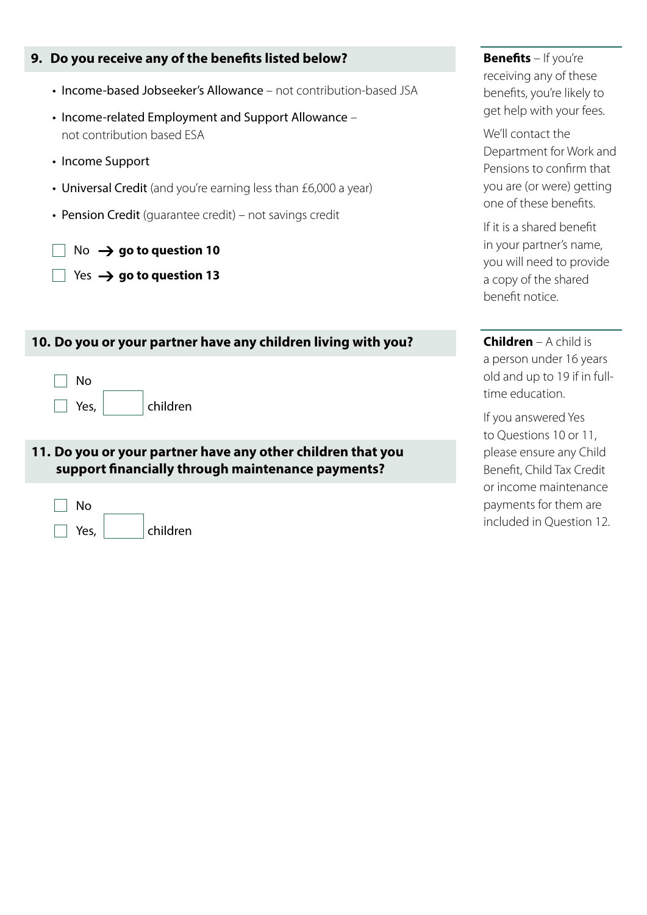|  |  |  |  |  | 9. Do you receive any of the benefits listed below? |
|--|--|--|--|--|-----------------------------------------------------|
|--|--|--|--|--|-----------------------------------------------------|

- Income-based Jobseeker's Allowance not contribution-based JSA
- Income-related Employment and Support Allowance not contribution based ESA
- Income Support
- Universal Credit (and you're earning less than £6,000 a year)
- Pension Credit (guarantee credit) not savings credit

No  $\rightarrow$  go to question 10

Yes  $\rightarrow$  go to question 13

| 10. Do you or your partner have any children living with you?                                                    |  |  |
|------------------------------------------------------------------------------------------------------------------|--|--|
| No<br>Yes, $ $<br>children                                                                                       |  |  |
| 11. Do you or your partner have any other children that you<br>support financially through maintenance payments? |  |  |
|                                                                                                                  |  |  |

No Yes, children **Benefits** – If you're receiving any of these benefits, you're likely to get help with your fees.

We'll contact the Department for Work and Pensions to confirm that you are (or were) getting one of these benefits.

If it is a shared benefit in your partner's name, you will need to provide a copy of the shared benefit notice.

**Children** – A child is a person under 16 years old and up to 19 if in fulltime education.

If you answered Yes to Questions 10 or 11, please ensure any Child Benefit, Child Tax Credit or income maintenance payments for them are included in Question 12.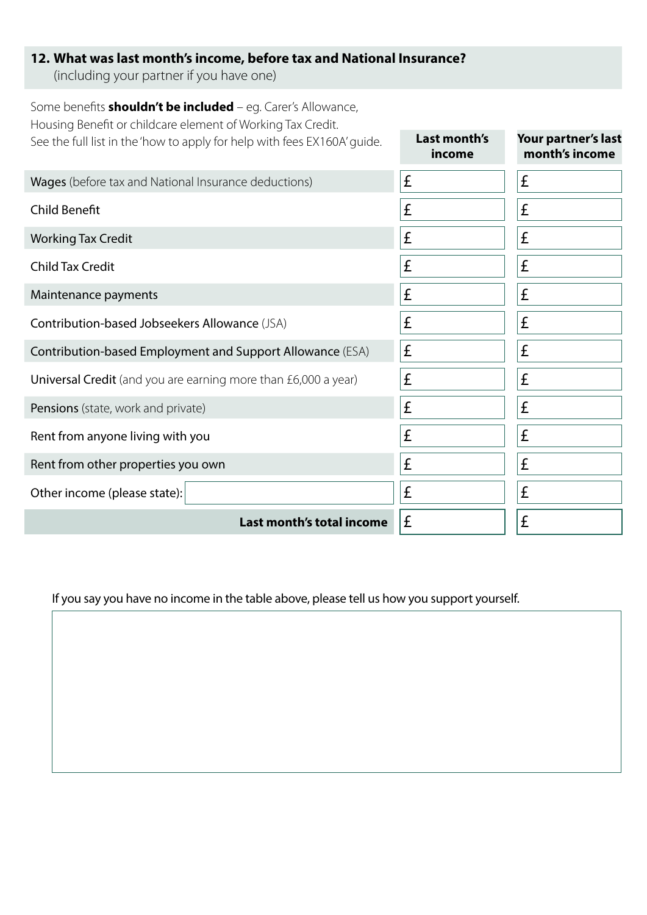# **12. What was last month's income, before tax and National Insurance?**

(including your partner if you have one)

| Some benefits <b>shouldn't be included</b> – eg. Carer's Allowance,<br>Housing Benefit or childcare element of Working Tax Credit. |                        |                                       |
|------------------------------------------------------------------------------------------------------------------------------------|------------------------|---------------------------------------|
| See the full list in the 'how to apply for help with fees EX160A' guide.                                                           | Last month's<br>income | Your partner's last<br>month's income |
| Wages (before tax and National Insurance deductions)                                                                               | £                      | £                                     |
| <b>Child Benefit</b>                                                                                                               | £                      | £                                     |
| <b>Working Tax Credit</b>                                                                                                          | £                      | £                                     |
| <b>Child Tax Credit</b>                                                                                                            | £                      | £                                     |
| Maintenance payments                                                                                                               | £                      | £                                     |
| Contribution-based Jobseekers Allowance (JSA)                                                                                      | £                      | £                                     |
| Contribution-based Employment and Support Allowance (ESA)                                                                          | £                      | £                                     |
| Universal Credit (and you are earning more than £6,000 a year)                                                                     | £                      | £                                     |
| Pensions (state, work and private)                                                                                                 | £                      | £                                     |
| Rent from anyone living with you                                                                                                   | £                      | £                                     |
| Rent from other properties you own                                                                                                 | £                      | £                                     |
| Other income (please state):                                                                                                       | £                      | £                                     |
| Last month's total income                                                                                                          | £                      | £                                     |

If you say you have no income in the table above, please tell us how you support yourself.